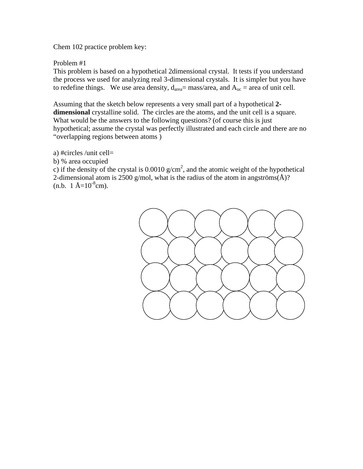Chem 102 practice problem key:

Problem #1

This problem is based on a hypothetical 2dimensional crystal. It tests if you understand the process we used for analyzing real 3-dimensional crystals. It is simpler but you have to redefine things. We use area density,  $d_{area}$  = mass/area, and  $A_{uc}$  = area of unit cell.

Assuming that the sketch below represents a very small part of a hypothetical **2 dimensional** crystalline solid. The circles are the atoms, and the unit cell is a square. What would be the answers to the following questions? (of course this is just hypothetical; assume the crystal was perfectly illustrated and each circle and there are no "overlapping regions between atoms )

- a) #circles /unit cell=
- b) % area occupied

c) if the density of the crystal is  $0.0010 \text{ g/cm}^2$ , and the atomic weight of the hypothetical 2-dimensional atom is 2500 g/mol, what is the radius of the atom in angströms( $\AA$ )?  $(n.b. 1 Å=10^{-8}cm)$ .

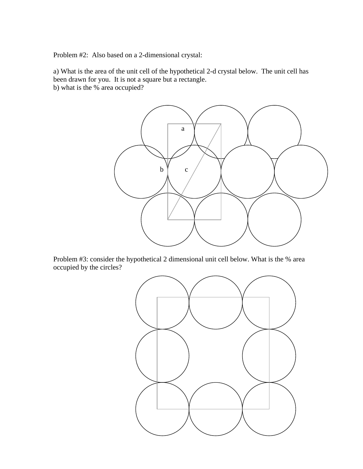Problem #2: Also based on a 2-dimensional crystal:

a) What is the area of the unit cell of the hypothetical 2-d crystal below. The unit cell has been drawn for you. It is not a square but a rectangle.

b) what is the % area occupied?



Problem #3: consider the hypothetical 2 dimensional unit cell below. What is the % area occupied by the circles?